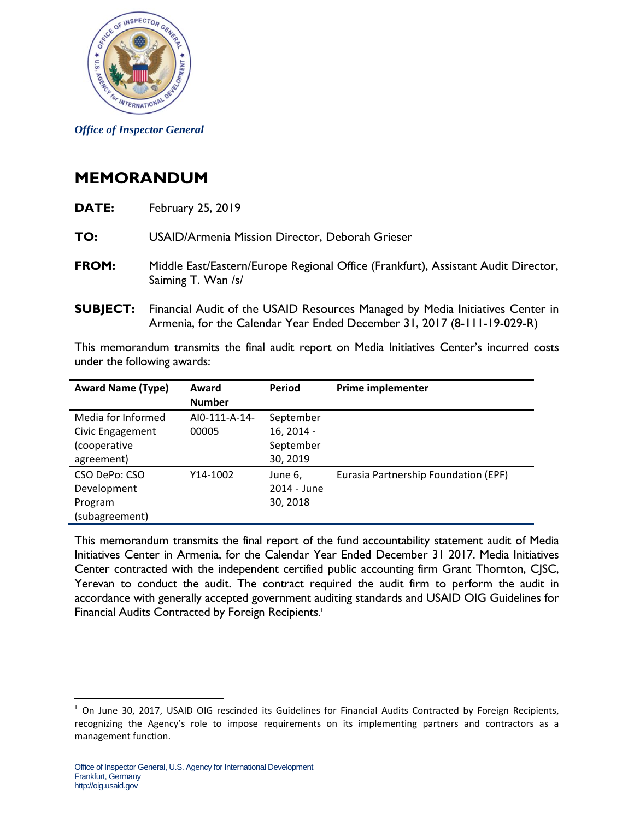

*Office of Inspector General* 

## **MEMORANDUM**

| DATE:           | <b>February 25, 2019</b>                                                                                                                                 |  |  |
|-----------------|----------------------------------------------------------------------------------------------------------------------------------------------------------|--|--|
| TO:             | USAID/Armenia Mission Director, Deborah Grieser                                                                                                          |  |  |
| FROM:           | Middle East/Eastern/Europe Regional Office (Frankfurt), Assistant Audit Director,<br>Saiming T. Wan /s/                                                  |  |  |
| <b>SUBJECT:</b> | Financial Audit of the USAID Resources Managed by Media Initiatives Center in<br>Armenia, for the Calendar Year Ended December 31, 2017 (8-111-19-029-R) |  |  |

This memorandum transmits the final audit report on Media Initiatives Center's incurred costs under the following awards:

| <b>Award Name (Type)</b> | Award<br><b>Number</b> | Period      | <b>Prime implementer</b>             |
|--------------------------|------------------------|-------------|--------------------------------------|
| Media for Informed       | AI0-111-A-14-          | September   |                                      |
| Civic Engagement         | 00005                  | 16, 2014 -  |                                      |
| (cooperative             |                        | September   |                                      |
| agreement)               |                        | 30, 2019    |                                      |
| CSO DePo: CSO            | Y14-1002               | June 6,     | Eurasia Partnership Foundation (EPF) |
| Development              |                        | 2014 - June |                                      |
| Program                  |                        | 30, 2018    |                                      |
| (subagreement)           |                        |             |                                      |

 Initiatives Center in Armenia, for the Calendar Year Ended December 31 2017. Media Initiatives Financial Audits Contracted by Foreign Recipients.<sup>1</sup> This memorandum transmits the final report of the fund accountability statement audit of Media Center contracted with the independent certified public accounting firm Grant Thornton, CJSC, Yerevan to conduct the audit. The contract required the audit firm to perform the audit in accordance with generally accepted government auditing standards and USAID OIG Guidelines for

<sup>1</sup> <sup>1</sup> On June 30, 2017, USAID OIG rescinded its Guidelines for Financial Audits Contracted by Foreign Recipients, recognizing the Agency's role to impose requirements on its implementing partners and contractors as a management function.